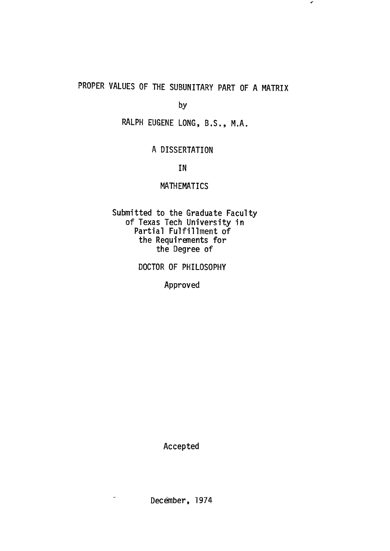# PROPER VALUES OF THE SUBUNITARY PART OF A MATRIX

 $\pmb{\tau}$ 

by

RALPH EUGENE LONG, B.S., M.A.

## A DISSERTATION

IN

### MATHEMATICS

Submitted to the Graduate Faculty of Texas Tech University in Partial Fulfillment of the Requirements for the Degree of

DOCTOR OF PHILOSOPHY

Approved

Accepted

December, 1974

 $\sim$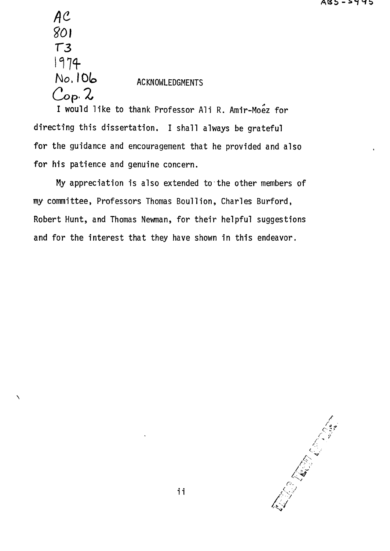$AC$ 801  $T3$ 1974 No. 106 ACKNOWLEDGMENTS  $C$ op.  $2$ 

Ń

I would like to thank Professor Ali R. Amir-Moez for directing this dissertation. I shall always be grateful for the guidance and encouragement that he provided and also for his patience and genuine concern.

My appreciation is also extended to the other members of my committee, Professors Thomas Boullion, Charles Burford, Robert Hunt, and Thomas Newman, for their helpful suggestions and for the interest that they have shown in this endeavor.

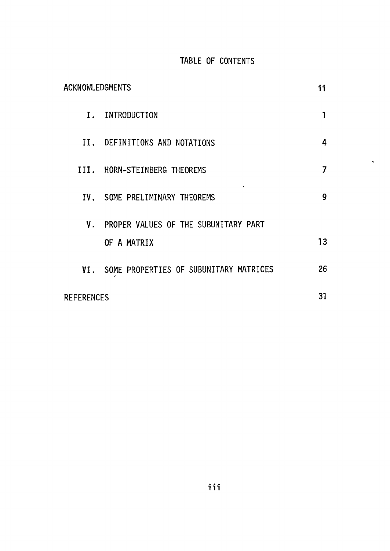# TABLE OF CONTENTS

 $\hat{\phantom{a}}$ 

| ACKNOWLEDGMENTS   |                                            |    |
|-------------------|--------------------------------------------|----|
|                   | I. INTRODUCTION                            |    |
|                   | II. DEFINITIONS AND NOTATIONS              | 4  |
|                   | III. HORN-STEINBERG THEOREMS               | 7  |
|                   | IV. SOME PRELIMINARY THEOREMS              | 9  |
|                   | V. PROPER VALUES OF THE SUBUNITARY PART    |    |
|                   | OF A MATRIX                                | 13 |
|                   | VI. SOME PROPERTIES OF SUBUNITARY MATRICES | 26 |
| <b>REFERENCES</b> |                                            |    |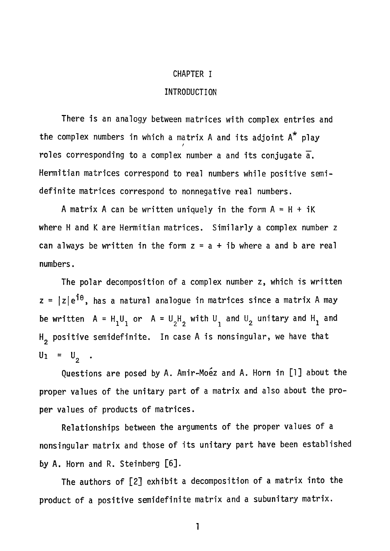#### CHAPTER I

#### INTRODUCTION

There is an analogy between matrices with complex entries and the complex numbers in which a matrix  $A$  and its adjoint  $A^*$  play roles corresponding to a complex number a and its conjugate  $\overline{a}$ . Hermitian matrices correspond to real numbers while positive semidefinite matrices correspond to nonnegative real numbers.

A matrix A can be written uniquely in the form  $A = H + iK$ where H and K are Hermitian matrices. Similarly a complex number z can always be written in the form  $z = a + ib$  where a and b are real numbers.

The polar decomposition of a complex number z, which is written  $z = |z|e^{i\theta}$ , has a natural analogue in matrices since a matrix A may be written  $A = H_1U_1$  or  $A = U_2H_2$  with  $U_1$  and  $U_2$  unitary and  $H_1$  and  $H_2$  positive semidefinite. In case A is nonsingular, we have that  $U_1 = U_2$ .

Questions are posed by A. Amir-Moez and A. Horn in [1] about the proper values of the unitary part of a matrix and also about the proper values of products of matrices.

Relationships between the arguments of the proper values of a nonsingular matrix and those of its unitary part have been established by A. Horn and R. Steinberg [6].

The authors of [2] exhibit a decomposition of a matrix into the product of a positive semidefinite matrix and a subunitary matrix.

1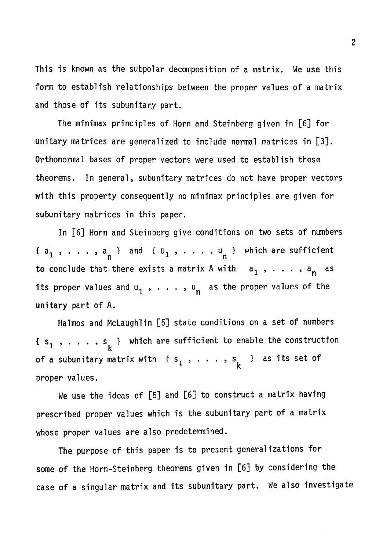This is known as the subpolar decomposition of a matrix. We use this form to establish relationships between the proper values of a matrix and those of its subunitary part.

The minimax principles of Horn and Steinberg given in [6] for unitary matrices are generalized to include normal matrices in [3]. Orthonormal bases of proper vectors were used to establish these theorems. In general, subunitary matrices do not have proper vectors with this property consequently no minimax principles are given for subunitary matrices in this paper.

In [6] Horn and Steinberg give conditions on two sets of numbers  $\{a_1$  ,  $\dots$  ,  $a$   $\}$  and  $\{a_1$  ,  $\dots$  ,  $a_{\perp}$  } which are sufficient  $\mathbf{n}$   $\mathbf{n}$   $\mathbf{n}$   $\mathbf{n}$   $\mathbf{n}$   $\mathbf{n}$ to conclude that there exists a matrix A with  $a_1$ , ...,  $a_n$  as its proper values and  $u_1^2$ , ...,  $u_n^2$  as the proper values of the unitary part of A.

Halmos and McLaughlin [5] state conditions on a set of numbers {  $s_1$  ,  $\ldots$  ,  $s_1$  } which are sufficient to enable the construction  $\frac{1}{k}$  k of a subunitary matrix with  ${s_1, \ldots, s_k}$  as its set of proper values.

We use the ideas of  $[5,5]$  and  $[6,6]$  to construct a matrix having having having having having having having prescribed proper values which is the subunitary part of a matrix whose proper values are also predetermined.

The purpose of this paper is to present generalizations for some of the Horn-Steinberg theorems given in [6] by considering the case of a singular matrix and its subunitary part. We also investigate

2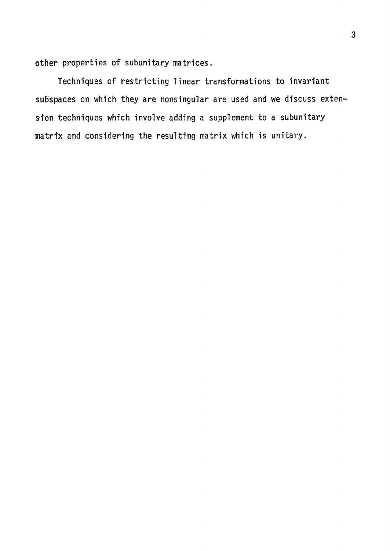other properties of subunitary matrices.

Techniques of restricting linear transformations to invariant subspaces on which they are nonsingular are used and we discuss extension techniques which involve adding a supplement to a subunitary matrix and considering the resulting matrix which is unitary.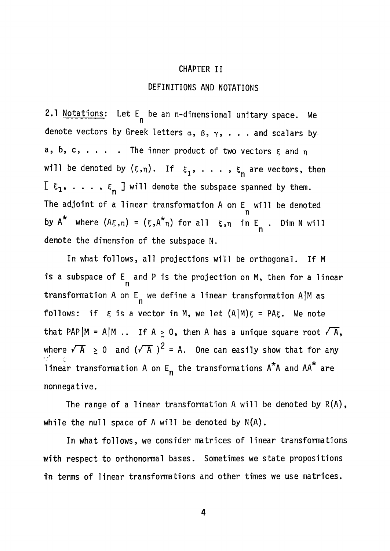#### CHAPTER II

#### DEFINITIONS AND NOTATIONS

2.1 Notations: Let  $E_n$  be an n-dimensional unitary space. We denote vectors by Greek letters  $\alpha$ ,  $\beta$ ,  $\gamma$ , . . . and scalars by a, b, c, . . . The inner product of two vectors  $\epsilon$  and  $\eta$ will be denoted by  $(\xi,\eta)$ . If  $\xi_1$ , ...,  $\xi_n$  are vectors, then  $I \xi_1, \ldots, \xi_n$  J will denote the subspace spanned by them. The adjoint of a linear transformation  $A$  on  $E$  will be denoted n by A\* where (A^n) = (5,A\*n) for all ?,ii in E . Dim N will denote the dimension of the subspace N.

In what follows, all projections will be orthogonal. If M is a subspace of  $E_n$  and P is the projection on M, then for a linear transformation A on E we define a linear transformation AlM as follows: if  $\xi$  is a vector in M, we let  $(A|M)\xi = PA\xi$ . We note that PAP  $|M = A|M$ .. If  $A \ge 0$ , then A has a unique square root  $\sqrt{A}$ , follows: if  $\overline{5}$  is a vector in  $\overline{5}$ that PAPJM = A|M .. If A > 0, then A has a unique square root /T , linear transformation A on  $E_n$  the transformations  $A^*A$  and  $AA^*$  are linear transformation A on E the transformations A A and AA are

nonnegative. The range of a linear transformation  $\mathcal{L}$  and  $\mathcal{L}$  are denoted by R(A),  $\mathcal{L}$ 

while the null space of  $\mathcal{N}(A)$  will be denoted by  $N(\mathcal{N}(A))$  . The denoted by  $N(\mathcal{N}(A))$ with respect to orthonormal bases. Sometimes we state propositions

4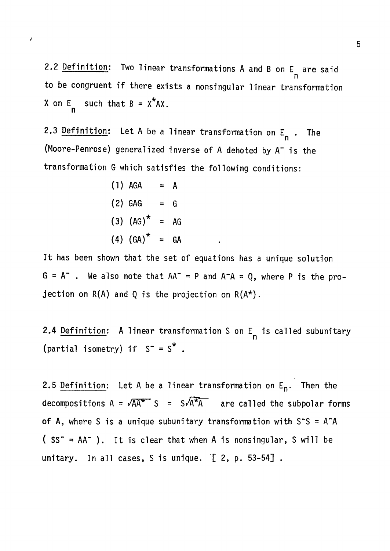2.2 Definition: Two linear transformations A and B on  $E_n$  are said n to be congruent if there exists a nonsingular linear transformation  $X$  on  $E$  such that  $B = X^2AX$ .

2.3 <u>Definition</u>: Let A be a linear transformation on E<sub>s.</sub> . The n (Moore-Penrose) generalized inverse of A dehoted by  $A^-$  is the transformation G which satisfies the following conditions:

transformation G which satisfies the following conditions: (1) AGA = A (2) GAG = G (3) (AG)\* = AG

 $\overline{\phantom{a}}$ 

It has been shown that the set of equations has a unique solution It has been shown that the set of equations has a unique solutions has a unique solutions  $\mathcal{L}(\mathcal{L})$  $G = A^-$ . We also note that  $AA^- = P$  and  $A^-A = Q$ , where P is the projection on  $R(A)$  and Q is the projection on  $R(A^*)$ .

2.4 Definition: A linear transformation S on  $E_n$  is called subunitary (partial isometry) if  $S^- = S^*$ .

2.5 Definition: Let A be a linear transformation on  $E_n$ . Then the decompositions  $A = \sqrt{AA^{*}}$  S =  $S\sqrt{A^{*}A}$  are called the subpolar forms of A, where S is a unique subunitary transformation with  $S^*S = A^*A$  $(SS<sup>-</sup> = AA<sup>-</sup>)$ . It is clear that when A is nonsingular, S will be unitary. In all cases, S is unique. [ 2, p. 53-54] .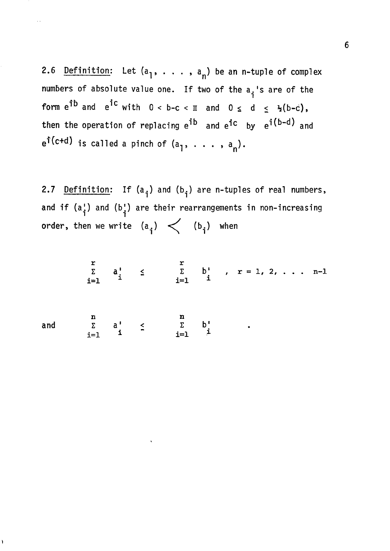2.6 Definition: Let  $(a_1, \ldots, a_n)$  be an n-tuple of complex numbers of absolute value one. If two of the a<sub>j</sub>'s are of the form  $e^{\hat{j}b}$  and  $e^{\hat{j}c}$  with  $0 < b-c < \pi$  and  $0 \le d \le \frac{1}{2}(b-c)$ , then the operation of replacing e<sup>ib</sup> and e<sup>ic</sup> by e<sup>i(b-d)</sup> and  $e^{f(c+d)}$  is called a pinch of  $(a_1, \ldots, a_n)$ .

2.7 Definition: If  $(a_i)$  and  $(b_i)$  are n-tuples of real numbers, and if  $(a_i)$  and  $(b_i)$  are their rearrangements in non-increasing **order, then we write**  $(a_i) < (b_i)$  when

$$
\sum_{i=1}^{r} a_i^1 \leq \sum_{i=1}^{r} b_i^1, r = 1, 2, \ldots n-1
$$

**and** 

 $\lambda$ 

n n  $\sum_{i=1}^{\infty}$  d'  $\sum_{i=1}^{\infty}$  by  $\sum_{i=1}^{\infty}$ 

 $\mathbf{r}$  is a set of  $\mathbf{r}$  is a set of  $\mathbf{r}$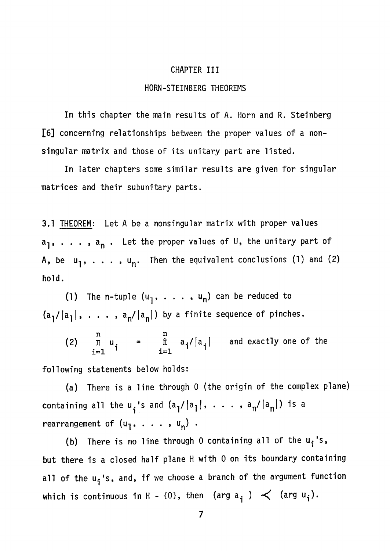#### CHAPTER III

### HORN-STEINBERG THEOREMS

In this chapter the main results of A. Horn and R. Steinberg l6] concerning relationships between the proper values of a nonsingular matrix and those of its unitary part are listed.

In later chapters some similar results are given for singular matrices and their subunitary parts.

3.1 THEOREM: Let A be a nonsingular matrix with proper values  $a_{1}$ , . . . ,  $a_{n}$  . Let the proper values of U, the unitary part of A, be  $u_1, \ldots, u_n$ . Then the equivalent conclusions (1) and (2) hold.

(1) The n-tuple  $(u_1, \ldots, u_n)$  can be reduced to  $(a_1/|a_1|, \ldots, a_n/|a_n|)$  by a finite sequence of pinches.

n n (2) If  $u_i = \ln |a_i| |a_i|$  and exactly one of the  $i = 1$  **iiii**  $i = 1$ 

following statements below holds:

(a) There is a line through 0 (the origin of the complex plane) containing all the  $u_i$ 's and  $(a_i/|a_i|, \ldots, a_n/|a_n|)$  is a rearrangement of  $(u_1, \ldots, u_n)$ .

(b) There is no line through 0 containing all of the  $u_i'$ 's, but there is a closed half plane H with 0 on its boundary containing all of the u<sub>j</sub>'s, and, if we choose a branch of the argument function which is continuous in H - {0}, then (arg a<sub>j</sub> )  $\prec$  (arg u<sub>j</sub>).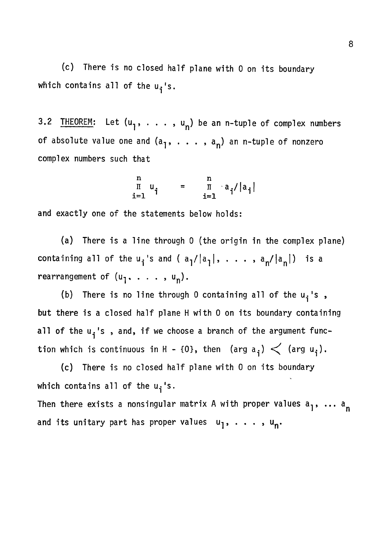(c) There is no closed half plane with 0 on its boundary which contains all of the  $u_j$ 's.

3.2 THEOREM: Let  $(u^1, \ldots, u^n)$  be an n-tuple of complex numbers of absolute value one and  $(a_1, \ldots, a_n)$  an n-tuple of nonzero complex numbers such that

$$
\begin{array}{ccc}\nn & n \\
\text{I} & u_{i} & = & \text{I} & a_{i}/|a_{i}| \\
i=1 & & i=1\n\end{array}
$$

and exactly one of the statements below holds:

(a) There is a line through 0 (the origin in the complex plane) containing all of the  $u_i$ 's and (  $a_1/|a_1|$ , . . . ,  $a_n/|a_n|$ ) is a rearrangement of  $(u_1, \ldots, u_n)$ .

(b) There is no line through 0 containing all of the  $u_i$ 's, but there is a closed half plane H with 0 on its boundary containing all of the  $u_i$ 's, and, if we choose a branch of the argument function which is continuous in H - {0}, then  $\langle \text{arg } a_j \rangle$   $\langle$   $\langle \text{arg } u_j \rangle$ .

(c) There is no closed half plane with 0 on its boundary which contains all of the  $u_i$ 's.

Then there exists a nonsingular matrix A with proper values  $a_1$ , ...  $a_n$ and its unitary part has proper values  $u_1, \ldots, u_n$ .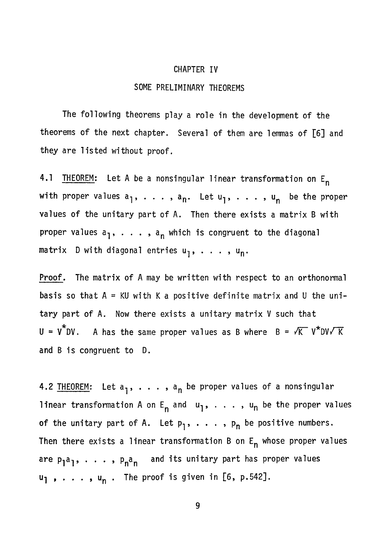# CHAPTER IV SOME PRELIMINARY THEOREMS

The following theorems play a role in the development of the theorems of the next chapter. Several of them are lemmas of [6] and they are listed without proof,

4.1 THEOREM: Let A be a nonsingular linear transformation on E<sub>n</sub> with proper values  $a_1, \ldots, a_n$ . Let  $u_1, \ldots, u_n$  be the proper values of the unitary part of A. Then there exists a matrix B with proper values  $a_1$ , . . . ,  $a_n$  which is congruent to the diagonal matrix  $D$  with diagonal entries  $u_{\overline{1}}, \ldots, u_{\overline{n}}.$ 

Proof. The matrix of A may be written with respect to an orthonormal basis so that  $A = KU$  with K a positive definite matrix and U the unitary part of A. Now there exists a unitary matrix V such that  $U = V^*DV$ . A has the same proper values as B where  $B = \sqrt{K} V^*DV\sqrt{K}$ and B is congruent to D.

4.2 THEOREM: Let  $a_1, \ldots, a_n$  be proper values of a nonsingular linear transformation A on E<sub>n</sub> and  $u_1$ , ...,  $u_n$  be the proper values of the unitary part of A. Let  $p_1, \ldots, p_n$  be positive numbers. Then there exists a linear transformation B on  $E_n$  whose proper values are  $p_1a_1, \ldots, p_na_n$  and its unitary part has proper values  $u_1$ , ...,  $u_n$ . The proof is given in [6, p.542].

9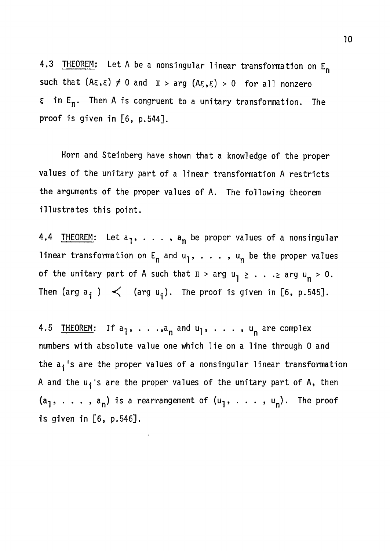4.3 THEOREM: Let A be a nonsingular linear transformation on  $E_n$ such that  $(A\xi, \xi) \neq 0$  and  $\pi > \arg (A\xi, \xi) > 0$  for all nonzero  $\xi$  in E<sub>n</sub>. Then A is congruent to a unitary transformation. The proof is given in [6, p.544].

Horn and Steinberg have shown that a knowledge of the proper values of the unitary part of a linear transformation A restricts the arguments of the proper values of A. The following theorem illustrates this point.

4.4 THEOREM: Let a<sub>1</sub>, . . . , a<sub>n</sub> be proper values of a nonsingular linear transformation on  $E_n$  and  $u_1$ , . . . ,  $u_n$  be the proper values of the unitary part of A such that  $\pi$  > arg  $u_1 \ge ... \ge \arg u_n > 0$ . Then (arg  $a^{\dagger}$  )  $\prec$  (arg  $u^{\dagger}$ ). The proof is given in [6, p.545].

4.5 THEOREM: If  $a_1$ , ..., $a_n$  and  $u_1$ , ...,  $u_n$  are complex numbers with absolute value one which lie on a line through 0 and the  $a_i$ 's are the proper values of a nonsingular linear transformation A and the  $u_i$ 's are the proper values of the unitary part of A, then  $(a_1, \ldots, a_n)$  is a rearrangement of  $(u_1, \ldots, u_n)$ . The proof is given in [6, p.546].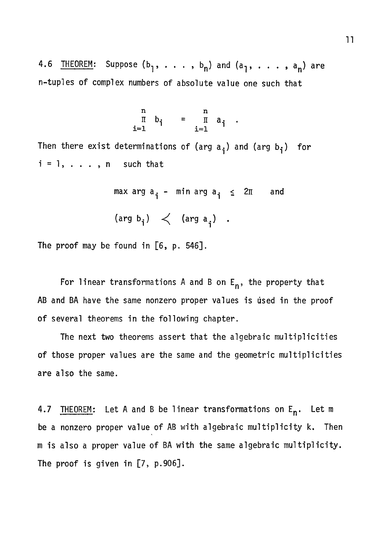4.6 <u>THEOREM</u>: Suppose  $(b_1, \ldots, b_n)$  and  $(a_1, \ldots, a_n)$  are n-tuples of complex numbers of absolute value one such that

$$
\begin{array}{ccc}\nn & n \\
\pi & b_{i} & = & \pi \\
i=1 & & i=1\n\end{array}.
$$

Then there exist determinations of (arg  $a_i$ ) and (arg  $b_i$ ) for  $i = 1, \ldots, n$  such that

> max arg  $a_i$  - min arg  $a_i \leq 2\pi$  and (arg  $b^{\text{}}_i$ )  $\langle$  (arg a<sub>i</sub>) .

The proof may be found in  $[6, p. 546]$ .

For linear transformations A and B on  $E_n$ , the property that AB and BA have the same nonzero proper values is used in the proof of several theorems in the following chapter.

The next two theorems assert that the algebraic multiplicities of those proper values are the same and the geometric multiplicities are also the same.

4.7 THEOREM: Let A and B be linear transformations on E<sub>n</sub>. Let m be a nonzero proper value of AB with algebraic multiplicity k. Then m is also a proper value of BA with the same algebraic multiplicity. The proof is given in [7, p.906].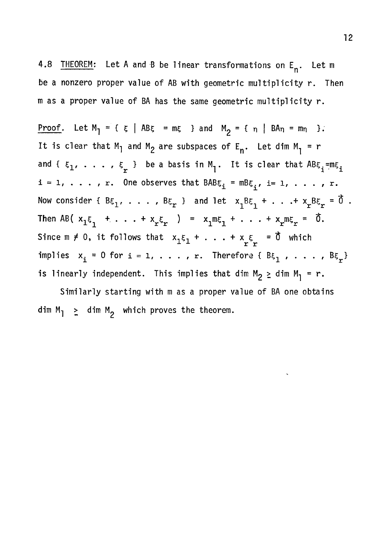4.8 <u>IHEOREM</u>: Let A and B be linear transformations on E<sub>n</sub>. Let m be a nonzero proper value of AB with geometric multiplicity r. Then m as a proper value of BA has the same geometric multiplicity r.

Proof. Let  $M_1 = \{ \xi \mid AB\xi = m\xi \}$  and  $M_2 = \{ \eta \mid BA_n = m_n \}$ . It is clear that M<sub>1</sub> and M<sub>2</sub> are subspaces of E<sub>n</sub>. Let dim M<sub>1</sub> = r and {  $\epsilon_1$ ,  $\ldots$  ,  $\epsilon_r$  } be a basis in M<sub>1</sub>. It is clear that  $\texttt{ABE}_{\mathtt{i}}$  =m $\epsilon_{\mathtt{i}}$  $i = 1, \ldots, r$ . One observes that  $BAB\xi_i = mB\xi_i$ , i= 1, . . . , r. Now consider {  $B\xi_1$ , . . . ,  $B\xi_r$  } and let  $x_1B\xi_1 + ... + x_rB\xi_r = \vec{0}$ . Then AB(  $x_1 \xi_1 + \ldots + x_r \xi_r$  ) =  $x_1 m \xi_1 + \ldots + x_r m \xi_r = \tilde{0}$ . Since  $m \neq 0$ , it follows that  $x_1 \xi_1 + \ldots + x_{r} \xi_r = \vec{0}$  which  $X \times \mathbb{R}$  is a set of  $X \times \mathbb{R}$  . implies x^^ = 0 for i = 1, . . . , r. Therefore { B^^ , . . . , Be }

Similarly starting with m as a proper value of BA one obtains dim  $\mathcal{L}$  dim Mj, which proves the theorem.

is linearly independent. This implies that dim M2 > dim M-. = r.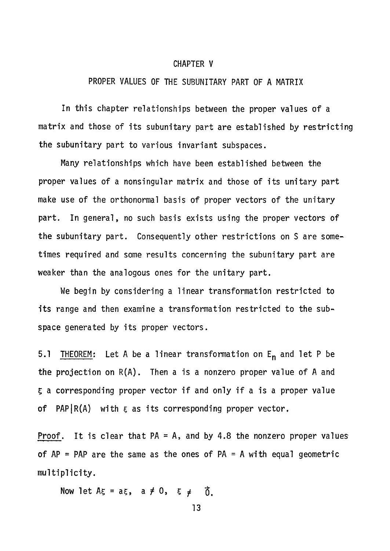#### CHAPTER V

#### PROPER VALUES OF THE SUBUNITARY PART OF A MATRIX

In this chapter relationships between the proper values of a matrix and those of its subunitary part are established by restricting the subunitary part to various invariant subspaces.

Many relationships which have been established between the proper values of a nonsingular matrix and those of its unitary part make use of the orthonormal basis of proper vectors of the unitary part. In general, no such basis exists using the proper vectors of the subunitary part. Consequently other restrictions on S are sometimes required and some results concerning the subunitary part are weaker than the analogous ones for the unitary part.

We begin by considering a linear transformation restricted to its range and then examine a transformation restricted to the subspace generated by its proper vectors.

5.1 THEOREM: Let A be a linear transformation on  $E_n$  and let P be the projection on  $R(A)$ . Then a is a nonzero proper value of A and 5 a corresponding proper vector if and only if a is a proper value of PAP $\vert R(A)$  with  $\xi$  as its corresponding proper vector.

**Proof.** It is clear that  $PA = A$ , and by 4.8 the nonzero proper values of  $AP = PAP$  are the same as the ones of  $PA = A$  with equal geometric multiplicity.

Now let  $A\xi = a\xi$ ,  $a \neq 0$ ,  $\xi \neq \vec{0}$ .

13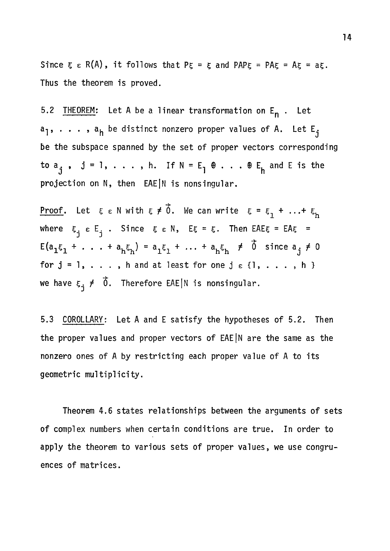Since  $\xi \in R(A)$ , it follows that  $P\xi = \xi$  and PAP $\xi = PR\xi = Az = a\xi$ . Thus the theorem is proved.

5.2 THEOREM: Let A be a linear transformation on E<sub>n</sub>. Let  $a_1$ , . . . ,  $a_h$  be distinct nonzero proper values of A. Let  $E_j$ be the subspace spanned by the set of proper vectors corresponding to  $a_i$ ,  $j = 1, \ldots$ , h. If  $N = E_1 \oplus \ldots \oplus E_h$  and E is the -<br>Johann Suidhean Barthistic Collain projection on N, then EAEJN is nonsingular.

<u>Proof</u>. Let  $\xi \in N$  with  $\xi \neq \vec{0}$ . We can write  $\xi = \xi_1 + ... + \xi_h$ 1 november 1980<br>1 november 1980 where  $\zeta_i$  e  $E_i$  . Since  $\xi$  e N,  $E\xi - \zeta$ . Then EAE $\xi$  – EA $\xi$  –  $E(a_1\xi_1 + \ldots + a_h\xi_h) = a_1\xi_1 + \ldots + a_h\xi_h \neq \vec{0}$  since  $a_j \neq 0$ for  $j = 1, \ldots$ , h and at least for one  $j \in \{1, \ldots, h\}$ we have  $\epsilon_j \neq \delta$ . Therefore EAE|N is nonsingular.

5.3 COROLLARY: Let A and E satisfy the hypotheses of 5.2. Then the proper values and proper vectors of EAE|N are the same as the nonzero ones of A by restricting each proper value of A to its geometric multiplicity.

Theorem 4.6 states relationships between the arguments of sets of complex numbers when certain conditions are true. In order to apply the theorem to various sets of proper values, we use congruences of matrices.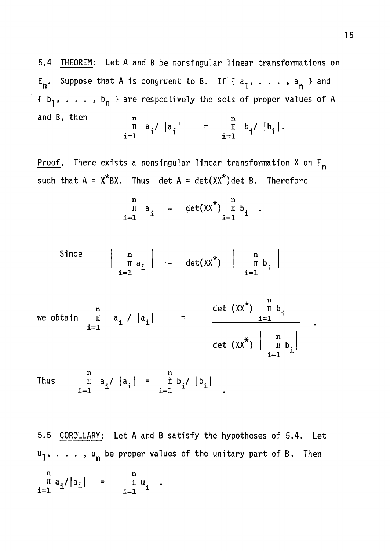5.4 THEOREM; Let A and B be nonsingular linear transformations on  $\mathsf{E}_{\mathsf{n}}.$  Suppose that A is congruent to B. If {  $\mathsf{a}_{\mathsf{1}}$ ,  $\ldots$  ,  $\mathsf{a}_{\mathsf{n}}$  } and  $\{b_1, \ldots, b_n\}$  are respectively the sets of proper values of A and B, then n n n n n n  $\begin{bmatrix} \mathbf{a} & \mathbf{a} \\ \mathbf{b} & \mathbf{b} \end{bmatrix}$   $\begin{bmatrix} \mathbf{a} \\ \mathbf{b} \end{bmatrix}$  =  $\begin{bmatrix} \mathbf{a} \\ \mathbf{b} \end{bmatrix}$   $\begin{bmatrix} \mathbf{b} \\ \mathbf{c} \end{bmatrix}$ i=l

Proof. There exists a nonsingular linear transformation X on  $E_n$ such that  $A = X^*BX$ . Thus det  $A = det(XX^*)$ det B. Therefore

$$
\begin{array}{ccc}\nn & n \\
\pi & a_i & = & \det(XX^*) & \pi \\
i=1 & & i=1\n\end{array}
$$

Since 
$$
\left| \begin{array}{c} n \\ \pi a_i \\ i=1 \end{array} \right|
$$
 = det( $xx^*$ )  $\left| \begin{array}{c} n \\ \pi b_i \\ i=1 \end{array} \right|$ 

we obtain 
$$
\prod_{i=1}^{n} a_i / |a_i|
$$
 =  $\frac{\det (XX^*) \prod_{i=1}^{n} b_i}{\det (XX^*) | \prod_{i=1}^{n} b_i|}$ 

n Thus  $\pi$  a<sub>.</sub>/  $|a_{\cdot}|$  i i=i ^ ^ n<br> $\hat{\mathbb{I}}$  b<sub>i</sub>  $|b_i|$ i=l

5.5 COROLLARY: Let A and B satisfy the hypotheses of 5.4. Let u, . . . , u<sub>n</sub> be proper values of the unitary part of B. Then **u** n<br><sup>∏</sup> a<sub>i</sub>/|a<sub>i</sub>| **i=l n n u. i=l ^**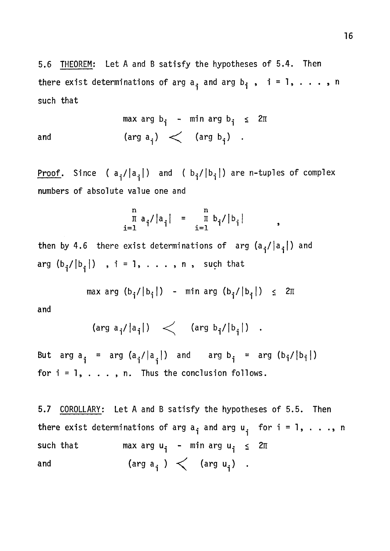5.6 THEOREM; Let A and B satisfy the hypotheses of 5.4. Then there exist determinations of arg  $a_i$  and arg  $b_i$ ,  $i = 1, ..., n$ such that

max arg  $b_i$  - min arg  $b_i \leq 2\pi$ and  $(\text{arg } a^{\text{-}}_i) < (\text{arg } b^{\text{-}}_i)$ .

Proof. Since ( $a_i/|a_i|$ ) and ( $b_i/|b_i|$ ) are n-tuples of complex numbers of absolute value one and

$$
\prod_{i=1}^{n} a_{i} / |a_{i}| = \prod_{i=1}^{n} b_{i} / |b_{i}| ,
$$

then by 4.6 there exist determinations of arg  $(a_i/|a_i|)$  and arg  $(b_i/|b_i|)$  , i = 1, . . . , n , such that

$$
\max \arg (b_{\mathbf{i}}/|b_{\mathbf{i}}|) - \min \arg (b_{\mathbf{i}}/|b_{\mathbf{i}}|) \leq 2\pi
$$

and

$$
(\arg a_{i}/|a_{i}|) \leq (\arg b_{i}/|b_{i}|) .
$$

But arg  $a^{\dagger}$  = arg  $(a^{\dagger}_{i}/|a^{\dagger}_{i})$  and arg  $b^{\dagger}_{i}$  = arg  $(b^{\dagger}_{i}/|b^{\dagger}_{i})$ for  $i = 1, \ldots, n$ . Thus the conclusion follows.

5.7 COROLLARY: Let A and B satisfy the hypotheses of 5.5. Then there exist determinations of arg  $a_i$  and arg  $u_i$  for  $i = 1, \ldots, n$ such that max arg  $u_i$  - min arg  $u_i \leq 2\pi$ and  $(\text{arg } a^i) < (\text{arg } u^i)$ .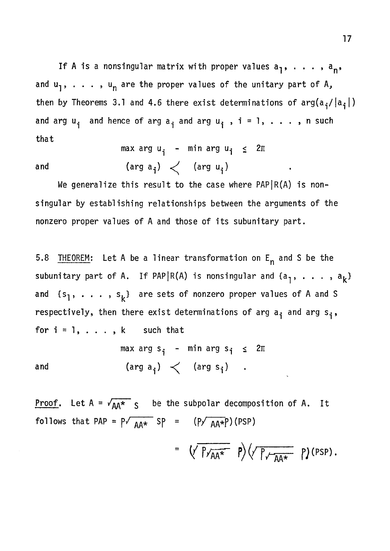If A is a nonsingular matrix with proper values  $a_1, \ldots, a_n$ , and  $u_1$ , . . . ,  $u_n$  are the proper values of the unitary part of A, then by Theorems 3.1 and 4.6 there exist determinations of  $arg(a^2/|a^2|)$ and arg  $u_i$  and hence of arg  $a_i$  and arg  $u_i$ ,  $i = 1, \ldots$ , n such that

$$
\max \arg u_{i} - \min \arg u_{i} \leq 2\pi
$$

(arg  $a_i$ )  $\angle$  (arg  $u_i$ ) and and (arg and arg and arg u/s) argued the set of the set of the set of the set of the set of the set of the set

singular by establishing relationships between the arguments of the nonzero proper values of A and those of its subunitary part.

5.8 THEOREM: Let A be a linear transformation on  $E_n$  and S be the subunitary part of A. If PAP|R(A) is nonsingular and  $\{a_{1}, \ldots, a_{k}\}$ and  $\{s_1, \ldots, s_k\}$  are sets of nonzero proper values of A and S respectively, then there exist determinations of arg a<sub>j</sub> and arg s<sub>j</sub>, for  $i = 1, \ldots, k$  such that

$$
\begin{array}{lcl}\n\text{max arg s}_{i} - \text{min arg s}_{i} \leq 2\pi \\
\text{and} & (\text{arg a}_{i}) < (\text{arg s}_{i}) \quad .\n\end{array}
$$

**Proof.** Let  $A = \sqrt{AA^*}$  s be the subpolar decomposition of A. It follows that PAP =  $P\sqrt{AA*}$  SP = (P $\sqrt{AA*}$ P)(PSP)

$$
= \left(\sqrt{P_{\gamma_{AA}*}} P\right) \left(\sqrt{P_{\gamma_{AA}*}} P\right) \left(\text{PSP}\right).
$$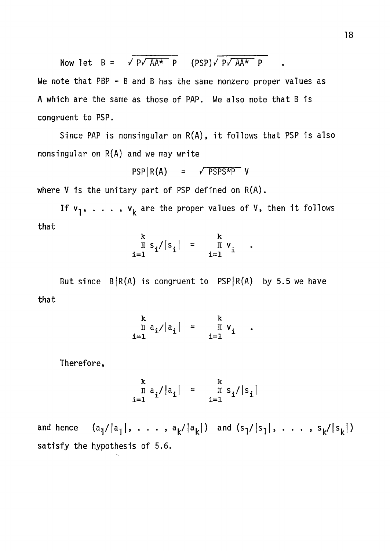Now let 
$$
B = \sqrt{p\sqrt{AA^*} p}
$$
 (PSP) $\sqrt{p\sqrt{AA^*} p}$ 

We note that  $PBP = B$  and B has the same nonzero proper values as A which are the same as those of PAP. We also note that B is congruent to PSP.

Since PAP is nonsingular on  $R(A)$ , it follows that PSP is also nonsingular on R(A) and we may write

$$
PSP | R(A) = \sqrt{PSPS*P} V
$$

where V is the unitary part of PSP defined on R(A).

If  $v_1, \ldots, v_k$  are the proper values of V, then it follows that

$$
\begin{array}{ccc}\n k & \text{if } s_i / |s_i| = & k \\
 i = 1 & \text{if } v_i \\
 i = 1 & \n\end{array}
$$

But since  $B|R(A)$  is congruent to  $PSP|R(A)$  by 5.5 we have that

$$
\begin{array}{ccc}\n k & \text{if } a_i / |a_i| = & \text{if } v_i \\
 i = 1 & \text{if } v_i\n \end{array}
$$

Therefore,

$$
\begin{array}{c}\n k \\
 \pi a_i / |a_i| = \frac{k}{\pi s_i} / |s_i| \\
 i = 1\n\end{array}
$$

and hence  $(a_1/|a_1|, \ldots, a_k/|a_k|)$  and  $(s_1/|s_1|, \ldots, s_k/|s_k|)$ satisfy the hypothesis of 5.6.

 $\bullet$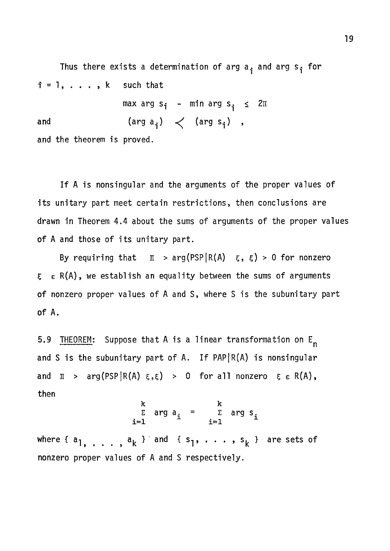Thus there exists a determination of arg  $a_{\mathbf{i}}$  and arg  $s_{\mathbf{i}}$  for  $i = 1, \ldots, k$  such that

 $max arg s<sub>i</sub> - min arg s<sub>i</sub> \leq 2\pi$ and  $(\text{arg } a_i) < (\text{arg } s_i)$ , and the theorem is proved.

If A is nonsingular and the arguments of the proper values of its unitary part meet certain restrictions, then conclusions are drawn in Theorem 4.4 about the sums of arguments of the proper values of A and those of its unitary part.

By requiring that  $\pi$  > arg(PSP|R(A)  $\xi$ ,  $\xi$ ) > 0 for nonzero  $\epsilon \in R(A)$ , we establish an equality between the sums of arguments of nonzero proper values of A and S, where S is the subunitary part of A.

5.9 THEOREM: Suppose that A is a linear transformation on  $E_n$ and S is the subunitary part of A. If  $PAP | R(A)$  is nonsingular and  $\pi$  > arg(PSP|R(A)  $\xi, \xi$ ) > 0 for all nonzero  $\xi \in R(A)$ , then

$$
\begin{array}{ccc}\nk & k \\
\hline\n\text{z} & \text{arg } a_i & = & \sum \text{arg } s_i \\
i=1 & i=1\n\end{array}
$$

where  $\{a_1, \ldots, a_k \}$  and  $\{s_1, \ldots, s_k \}$  are sets of nonzero proper values of A and S respectively.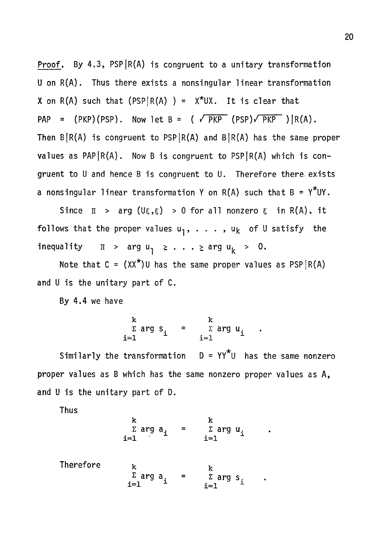Proof. By 4.3,  $PSP(R(A)$  is congruent to a unitary transformation U on R(A) . Thus there exists a nonsingular linear transformation X on  $R(A)$  such that (PSP $|R(A)$ ) =  $X^*UX$ . It is clear that PAP =  $(PKP)(PSP)$ . Now let B =  $(\sqrt{PKP} (PSP)\sqrt{PKP}) | R(A)$ . Then  $B/R(A)$  is congruent to PSP $|R(A)$  and  $B/R(A)$  has the same proper values as PAP|R(A). Now B is congruent to PSP|R(A) which is congruent to U and hence B is congruent to U. Therefore there exists a nonsingular linear transformation Y on R(A) such that  $B = Y^*UY$ .

follows that the proper values u-,, . . . , U|^ of U satisfy the inequality inequality n  $\mathcal{U}$  argued  $\mathcal{U}$  argued  $\mathcal{U}$  . The  $\mathcal{U}$ 

By 4.4 we have

$$
\begin{array}{ccc}\nk & \text{if } k \\
\sum \text{ arg } s_i & = & \sum \text{ arg } u_i \\
i=1 & & \text{if } i=1\n\end{array}
$$

Similarly the transformation  $D = YY^*U$  has the same nonzero proper values as B which has the same nonzero proper values as A, and U is the unitary part of D.

Thus

|           | ĸ<br>Σ arg $a_i$<br>$i=1$                     | ĸ<br>Σ arg $u_i$<br>$i=1$                   |
|-----------|-----------------------------------------------|---------------------------------------------|
| Therefore | k<br>$\sum_{i=1}^{\Sigma}$ arg a <sub>i</sub> | k<br>$\Sigma$ arg s <sub>i</sub><br>$i = 1$ |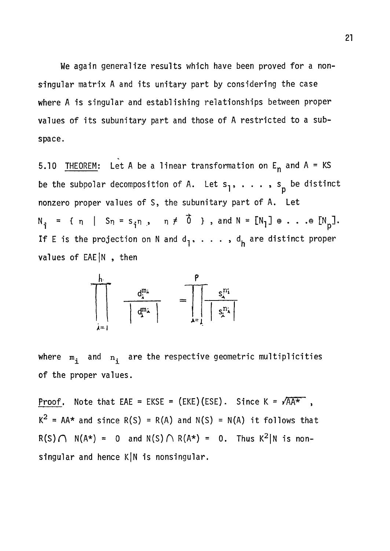We again generalize results which have been proved for a nonsingular matrix A and its unitary part by considering the case where A is singular and establishing relationships between proper values of its subunitary part and those of A restricted to a subspace.

5.10 THEOREM: Let A be a linear transformation on  $E_n$  and A = KS be the subpolar decomposition of A. Let  $s_1, \ldots, s_p$  be distinct nonzero proper values of S, the subunitary part of A. Let  $N_{\hat{i}}$  = { n | S<sub>n</sub> = s<sub>i</sub>n, n  $\neq$  0}, and N = [N<sub>1</sub>]  $\oplus$  . . . $\oplus$  [N<sub>p</sub>]. If E is the projection on N and  $d_1, \ldots, d_h$  are distinct proper values of EAE |N, then



where  $m_i$  and  $n_i$  are the respective geometric multiplicities of the proper values.

**Proof.** Note that EAE = EKSE = (EKE)(ESE). Since K =  $\sqrt{AA^*}$ ,  $K^2$  = AA\* and since R(S) = R(A) and N(S) = N(A) it follows that  $R(S) \cap N(A^*) = 0$  and  $N(S) \cap R(A^*) = 0$ . Thus  $K^2|N$  is nonsingular and hence K|N is nonsingular.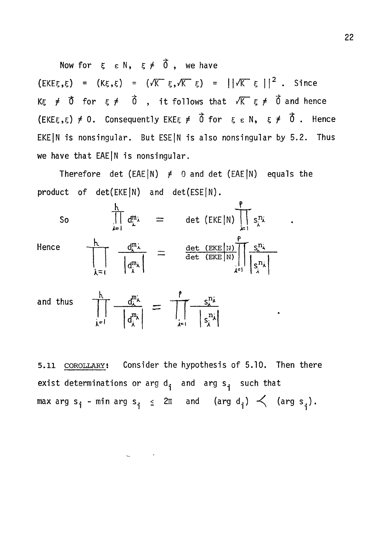Now for  $\xi \in \mathbb{N}$ ,  $\xi \neq \vec{0}$ , we have  $(EKE\xi, \xi) = (K\xi, \xi) = (\sqrt{K} \xi, \sqrt{K} \xi) = ||\sqrt{K} \xi||^2$ . Since Kg  $\neq$   $\vec{0}$  for  $\xi \neq \vec{0}$  , it follows that  $\sqrt{K}$   $\xi \neq \vec{0}$  and hence  $(EKE\xi, \xi) \neq 0$ . Consequently EKE $\xi \neq \vec{0}$  for  $\xi \in N$ ,  $\xi \neq \vec{0}$ . Hence EKE N is nonsingular. But ESE N is also nonsingular by 5.2. Thus we have that EAE|N is nonsingular.

Therefore det (EAE|N)  $\neq$  0 and det (EAE|N) equals the product of det(EKE|N) and det(ESE|N).



and thus  $\begin{array}{ccc} \overline{ \ } & \overline{ \ } & \overline{ \ } \end{array}$  $\mathbf{d}^{\mathbf{m}}$ *A^\* 

 $\omega_{\rm{max}}=0.01$ 

5.11 COROLLARY; Consider the hypothesis of 5.10. Then there exist determinations or arg  $d_i$  and arg  $s_i$  such that max arg s<sub>i</sub> - min arg s<sub>i</sub>  $\leq$  2 $\pi$  and (arg d<sub>i</sub>)  $\leq$  (arg s<sub>i</sub>).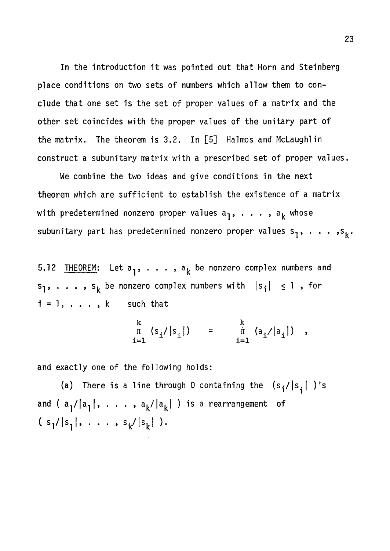In the introduction it was pointed out that Horn and Steinberg place conditions on two sets of numbers which allow them to conclude that one set is the set of proper values of a matrix and the other set coincides with the proper values of the unitary part of the matrix. The theorem is 3.2. In [5] Halmos and McLaughlin construct a subunitary matrix with a prescribed set of proper values.

We combine the two ideas and give conditions in the next theorem which are sufficient to establish the existence of a matrix with predetermined nonzero proper values  $a_1, \ldots, a_k$  whose subunitary part has predetermined nonzero proper values  $s_1, \ldots, s_k$ .

5.12 THEOREM: Let  $a_1, \ldots, a_k$  be nonzero complex numbers and  $s_1, \ldots, s_k$  be nonzero complex numbers with  $|s_i| \leq 1$ , for  $i = 1, \ldots, k$  such that

$$
\begin{array}{ccc}\n k \\
 \pi & (s_i/|s_i|) \\
 i=1\n\end{array}
$$

and exactly one of the following holds:

(a) There is a line through 0 containing the  $(s^{\dagger}_{i}/|s^{\dagger}_{i}|)$ 's and (  $a_{1}/|a_{1}|$ , . . . ,  $a_{k}/|a_{k}|$  ) is a rearrangement of  $(s^1/|s^1|, \ldots, s^k/|s^k|).$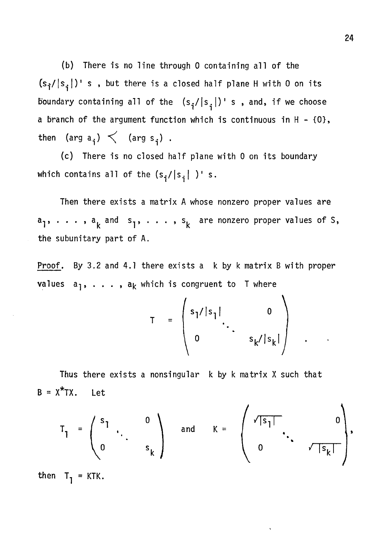(b) There is no line through 0 containing all of the  $(s_{\hat{i}}/|s_{\hat{i}}|)'$  s , but there is a closed half plane H with 0 on its boundary containing all of the  $(s_i/|s_i|)'$  s, and, if we choose a branch of the argument function which is continuous in  $H - \{0\}$ , then (arg  $a_j$ )  $\lt$  (arg  $s_j$ ).

(c) There is no closed half plane with 0 on its boundary which contains all of the  $(s_i/|s_i|)$ 's.

Then there exists a matrix A whose nonzero proper values are  $a_1$ , . . . ,  $a_k$  and  $s_1$ , . . . ,  $s_k$  are nonzero proper values of S, the subunitary part of A.

Proof. By 3.2 and 4.1 there exists a k by k matrix B with proper values  $a_1, \ldots, a_k$  which is congruent to T where

$$
T = \begin{pmatrix} s_1 / |s_1| & 0 \\ 0 & s_k / |s_k| \end{pmatrix}
$$

Thus there exists a nonsingular k by k matrix X such that  $B = X^*TX$ . Let

$$
T_1 = \begin{pmatrix} s_1 & 0 \\ 0 & \cdot & s_k \end{pmatrix} \quad \text{and} \quad K = \begin{pmatrix} \sqrt{|s_1|} & 0 \\ 0 & \cdot & \sqrt{|s_k|} \end{pmatrix},
$$

then  $T_1 = KTK$ .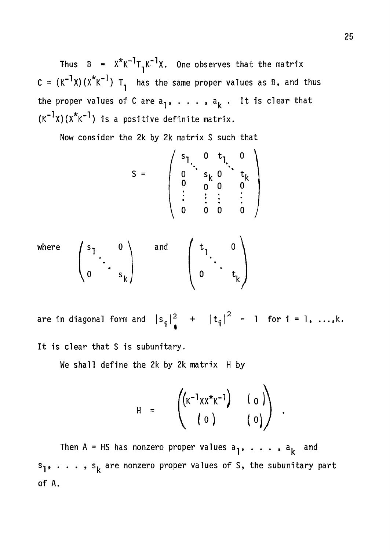Thus  $B = X^* K^{-1} T_1 K^{-1} X$ . One observes that the matrix C =  $(K^{-1}X)(X^kK^{-1})$  T, has the same proper values as B, and thus the proper values of C are  $a_1, \ldots, a_k$ . It is clear that  $(K^{-1}x)(X^*K^{-1})$  is a positive definite matrix.

Now consider the 2k by 2k matrix S such that

$$
S = \begin{pmatrix} s_1 & 0 & t_1 & 0 \\ 0 & s_k & 0 & t_k \\ 0 & 0 & 0 & 0 \\ \vdots & \vdots & \vdots & \vdots \\ 0 & 0 & 0 & 0 \end{pmatrix}
$$
  
where 
$$
\begin{pmatrix} s_1 & 0 \\ 0 & \vdots \\ 0 & 0 & 0 \end{pmatrix}
$$
 and 
$$
\begin{pmatrix} t_1 & 0 \\ 0 & \vdots \\ 0 & \vdots \end{pmatrix}
$$

are in diagonal form and  $|s_{\mathbf{i}}|^2 + |t_{\mathbf{i}}|^2 = 1$  for  $\mathbf{i} = 1, ..., \mathbf{k}$ . It is clear that S is subunitary.

We shall define the 2k by 2k matrix H by

$$
H = \begin{pmatrix} (K^{-1}xx^*K^{-1}) & (0) \\ (0) & (0) \end{pmatrix}
$$

Then A = HS has nonzero proper values  $a_1, \ldots, a_k$  and  $s_1$ , ...,  $s_k$  are nonzero proper values of S, the subunitary part of A.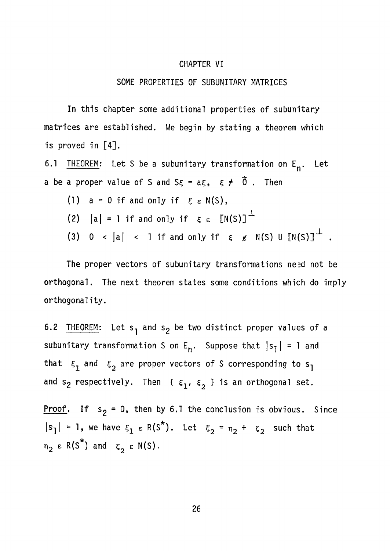#### CHAPTER VI

#### SOME PROPERTIES OF SUBUNITARY MATRICES

In this chapter some additional properties of subunitary matrices are established. We begin by stating a theorem which is proved in [4].

6.1 THEOREM: Let S be a subunitary transformation on  $E_n$ . Let a be a proper value of S and  $S_{\xi} = a \xi$ ,  $\xi \neq \tilde{0}$ . Then

(1)  $a = 0$  if and only if  $\xi \in N(S)$ , (2)  $|a| = 1$  if and only if  $\xi \in [N(S)]^{\perp}$ (3) 0 < |a| < 1 if and only if  $\xi \neq N(S)$  U  $[N(S)]^{\perp}$ .

The proper vectors of subunitary transformations need not be orthogonal. The next theorem states some conditions which do imply orthogonality.

6.2 THEOREM: Let  $s_1$  and  $s_2$  be two distinct proper values of a subunitary transformation S on  $E_n$ . Suppose that  $|s_1| = 1$  and that  $\epsilon_1$  and  $\epsilon_2$  are proper vectors of S corresponding to s<sub>1</sub> and s<sub>2</sub> respectively. Then { $\xi_1$ ,  $\xi_2$  } is an orthogonal set.

Proof. If  $s_2 = 0$ , then by 6.1 the conclusion is obvious. Since  $|s_1| = 1$ , we have  $\epsilon_1 \in R(S^*)$ . Let  $\epsilon_2 = n_2 + \epsilon_2$  such that  $n_2 \in R(S^*)$  and  $\zeta_2 \in N(S)$ .

26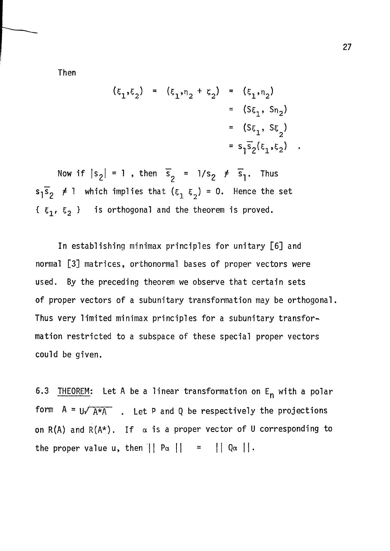Then

$$
(\xi_1, \xi_2) = (\xi_1, \eta_2 + \xi_2) = (\xi_1, \eta_2)
$$
  
=  $(S\xi_1, S\eta_2)$   
=  $(S\xi_1, S\xi_2)$   
=  $s_1\overline{s}_2(\xi_1, \xi_2)$ 

Now if  $|s_2| = 1$ , then  $\overline{s}_2 = 1/s_2 \neq \overline{s}_1$ . Thus  $s_1\overline{s}_2$   $\neq$  1 which implies that  $(s_1, s_2)$  = 0. Hence the set  $\{ \xi_1, \xi_2 \}$  is orthogonal and the theorem is proved.

In establishing minimax principles for unitary [6] and normal [3] matrices, orthonormal bases of proper vectors were used. By the preceding theorem we observe that certain sets of proper vectors of a subunitary transformation may be orthogonal. Thus very limited minimax principles for a subunitary transformation restricted to a subspace of these special proper vectors could be given.

6.3 THEOREM: Let A be a linear transformation on  $E_n$  with a polar form  $A = U\sqrt{A*A}$  . Let P and Q be respectively the projections on R(A) and R(A\*). If  $\alpha$  is a proper vector of U corresponding to the proper value u, then  $|| P_{\alpha} || = || Q_{\alpha} ||$ .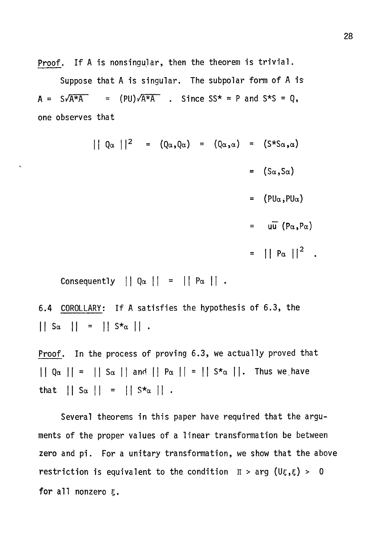**Proof. If A is nonsingular, then the theorem is trivial.** 

**Suppose that A is singular. The subpolar form of A is**   $A = S\sqrt{A^{*}A}$  =  $(PU)\sqrt{A^{*}A}$  . Since SS\* = P and S\*S = Q, **one observes that** 

> $\begin{vmatrix} \n\end{vmatrix} \begin{vmatrix} 2 & = & (Q_{\alpha}, Q_{\alpha}) & = & (Q_{\alpha}, \alpha) & = & (S * S_{\alpha}, \alpha) \n\end{vmatrix}$  $=$   $(S_{\alpha}, S_{\alpha})$  $=$  (PU $\alpha$ , PU $\alpha$ )  $=$  uu  $(P_{\alpha},P_{\alpha})$  $=$  ||  $P_{\alpha}$  ||<sup>2</sup> .

Consequently  $|| Q_{\alpha} || = || P_{\alpha} ||$ .

 $\overline{\phantom{0}}$ 

**6.4 COROLLARY; If A satisfies the hypothesis of 6.3, the**   $\left| \begin{array}{c} 1 & 5\alpha & 1 \end{array} \right| = \left| \begin{array}{c} 1 & 5\star_{\alpha} & 1 \end{array} \right|$ 

**Proof. In the process of proving 6.3, we actually proved that**   $\left| \begin{array}{c} | & Q_{\alpha} | & | & | \end{array} \right|$  Sa  $\left| \begin{array}{c} | & q_{\alpha} | & | \end{array} \right|$  Pa  $\left| \begin{array}{c} | & | & | \end{array} \right|$  S<sup>\*</sup>a  $\left| \begin{array}{c} | & | & | \end{array} \right|$  Thus we have that  $||S_{\alpha}|| = ||S_{\alpha}||$ .

**Several theorems in this paper have required that the arguments of the proper values of a linear transformation be between zero and pi. For a unitary transformation, we show that the above restriction is equivalent to the condition**  $\pi$  > arg (U $\xi$ , $\xi$ ) > 0 for all nonzero *ε*.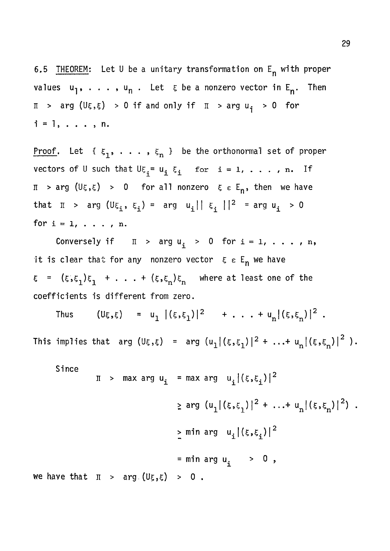6.5 THEOREM: Let U be a unitary transformation on  $E_n$  with proper values  $u_1, \ldots, u_n$ . Let  $\xi$  be a nonzero vector in  $E_n$ . Then  $\pi$  > arg (U $\xi, \xi$ ) > 0 if and only if  $\pi$  > arg  $u_{\xi}$  > 0 for  $i = 1, \ldots, n$ .

<u>Proof</u>. Let { $\xi_1, \ldots, \xi_n$  } be the orthonormal set of proper vectors of U such that  $U\xi_i = u_i \xi_i$  for  $i = 1, \ldots, n$ . If  $\pi$  > arg (U $\xi, \xi$ ) > 0 for all nonzero  $\xi \epsilon E_n$ , then we have that  $\pi$  > arg  $(U\xi_i, \xi_i)$  = arg  $u_i^{\text{max}}$  | |  $\zeta_i^{\text{max}}$  | | P = arg  $u_i^{\text{max}}$  > 0 for  $i = 1, \ldots, n$ .

Conversely if  $\pi$  > arg  $u_i$  > 0 for i = 1, . . . , n, it is clear that for any nonzero vector  $\epsilon \epsilon$   $\epsilon_n$  we have  $\xi$  =  $({\xi, \xi_1})\xi_1$  + . . . +  $({\xi, \xi_n})\xi_n$  where at least one of the coefficients is different from zero.

Thus  $(U\xi,\xi) = u^{\frac{1}{2}} |(\xi,\xi_1)|^2 + \ldots + u^{\frac{1}{2}} |\xi,\xi_n\rangle|^2$ . This implies that arg  $(U\xi,\xi)$  = arg  $(u_1^{\,}|\,(\xi,\xi_1^{\,})\,|^2 + ... + u_n^{\,}|\,(\xi,\xi_n^{\,})\,|^2$  ).

$$
\pi > \max \arg u_i = \max \arg u_i |(\xi, \xi_i)|^2
$$
  
\n
$$
\ge \arg (u_1 |(\xi, \xi_1)|^2 + ... + u_n |(\xi, \xi_n)|^2)
$$
  
\n
$$
\ge \min \arg u_i |(\xi, \xi_i)|^2
$$
  
\n
$$
= \min \arg u_i > 0
$$
,  
\nwe have that  $\pi > \arg (U_{\xi}, \xi) > 0$ .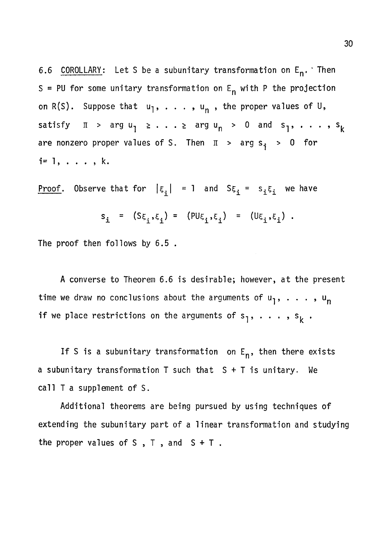6.6 COROLLARY: Let S be a subunitary transformation on  $E_n$ . Then S = PU for some unitary transformation on  $E_n$  with P the projection on R(S). Suppose that  $u_1, \ldots, u_n$ , the proper values of U, satisfy  $\pi$  > arg  $u_1$   $\geq$  . . .  $\geq$  arg  $u_n$  > 0 and  $s_1$ , . . . ,  $s_k$ are nonzero proper values of S. Then  $\pi$  > arg s<sub>i</sub> > 0 for  $i = 1, \ldots, k.$ 

Proof. Observe that for  $|\xi_i| = 1$  and  $S\xi_i = s_i\xi_i$  we have

$$
s_i = (s_{\xi_i}, \xi_i) = (p u_{\xi_i}, \xi_i) = (u_{\xi_i}, \xi_i).
$$

The proof then follows by 6.5 .

A converse to Theorem 6.6 is desirable; however, at the present time we draw no conclusions about the arguments of  $u_1, \ldots, u_n$ if we place restrictions on the arguments of  $s_1, \ldots, s_k$ .

If S is a subunitary transformation on  $E_n$ , then there exists a subunitary transformation T such that S + T is unitary. We call T a supplement of S.

Additional theorems are being pursued by using techniques of extending the subunitary part of a linear transformation and studying the proper values of  $S$ ,  $T$ , and  $S + T$ .